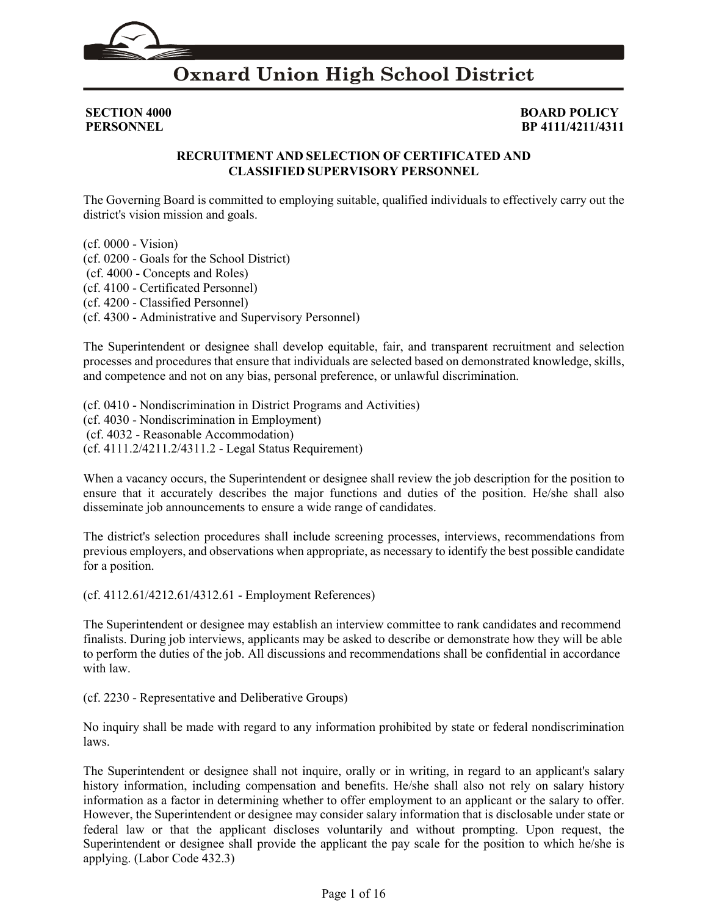

**SECTION 4000 BOARD POLICY**<br>**PERSONNEL BEARD POLICY PERSONNEL BP 4111/4211/4311** 

#### **RECRUITMENT AND SELECTION OF CERTIFICATED AND CLASSIFIED SUPERVISORY PERSONNEL**

The Governing Board is committed to employing suitable, qualified individuals to effectively carry out the district's vision mission and goals.

(cf. [0000](http://gamutonline.net/displayPolicy/368015/4) - Vision) (cf. [0200](http://gamutonline.net/displayPolicy/909473/4) - Goals for the School District) (cf. [4000](http://gamutonline.net/displayPolicy/171215/4) - Concepts and Roles) (cf[. 4100](http://gamutonline.net/displayPolicy/171216/4) - Certificated Personnel) (cf[. 4200](http://gamutonline.net/displayPolicy/288759/4) - Classified Personnel) (cf[. 4300](http://gamutonline.net/displayPolicy/315741/4) - Administrative and Supervisory Personnel)

The Superintendent or designee shall develop equitable, fair, and transparent recruitment and selection processes and procedures that ensure that individuals are selected based on demonstrated knowledge, skills, and competence and not on any bias, personal preference, or unlawful discrimination.

(cf[. 0410](http://gamutonline.net/displayPolicy/890898/4) - Nondiscrimination in District Programs and Activities) (cf[. 4030](http://gamutonline.net/displayPolicy/315731/4) - Nondiscrimination in Employment) (cf. [4032](http://gamutonline.net/displayPolicy/292816/4) - Reasonable Accommodation) (cf[. 4111.2](http://gamutonline.net/displayPolicy/559089/4)[/4211.2/](http://gamutonline.net/displayPolicy/559090/4)[4311.2](http://gamutonline.net/displayPolicy/559091/4) - Legal Status Requirement)

When a vacancy occurs, the Superintendent or designee shall review the job description for the position to ensure that it accurately describes the major functions and duties of the position. He/she shall also disseminate job announcements to ensure a wide range of candidates.

The district's selection procedures shall include screening processes, interviews, recommendations from previous employers, and observations when appropriate, as necessary to identify the best possible candidate for a position.

(cf. [4112.61](http://gamutonline.net/displayPolicy/171219/4)[/4212.61/](http://gamutonline.net/displayPolicy/171378/4)[4312.61](http://gamutonline.net/displayPolicy/171379/4) - Employment References)

The Superintendent or designee may establish an interview committee to rank candidates and recommend finalists. During job interviews, applicants may be asked to describe or demonstrate how they will be able to perform the duties of the job. All discussions and recommendations shall be confidential in accordance with law.

(cf. [2230](http://gamutonline.net/displayPolicy/244939/4) - Representative and Deliberative Groups)

No inquiry shall be made with regard to any information prohibited by state or federal nondiscrimination laws.

The Superintendent or designee shall not inquire, orally or in writing, in regard to an applicant's salary history information, including compensation and benefits. He/she shall also not rely on salary history information as a factor in determining whether to offer employment to an applicant or the salary to offer. However, the Superintendent or designee may consider salary information that is disclosable under state or federal law or that the applicant discloses voluntarily and without prompting. Upon request, the Superintendent or designee shall provide the applicant the pay scale for the position to which he/she is applying. (Labor Code 432.3)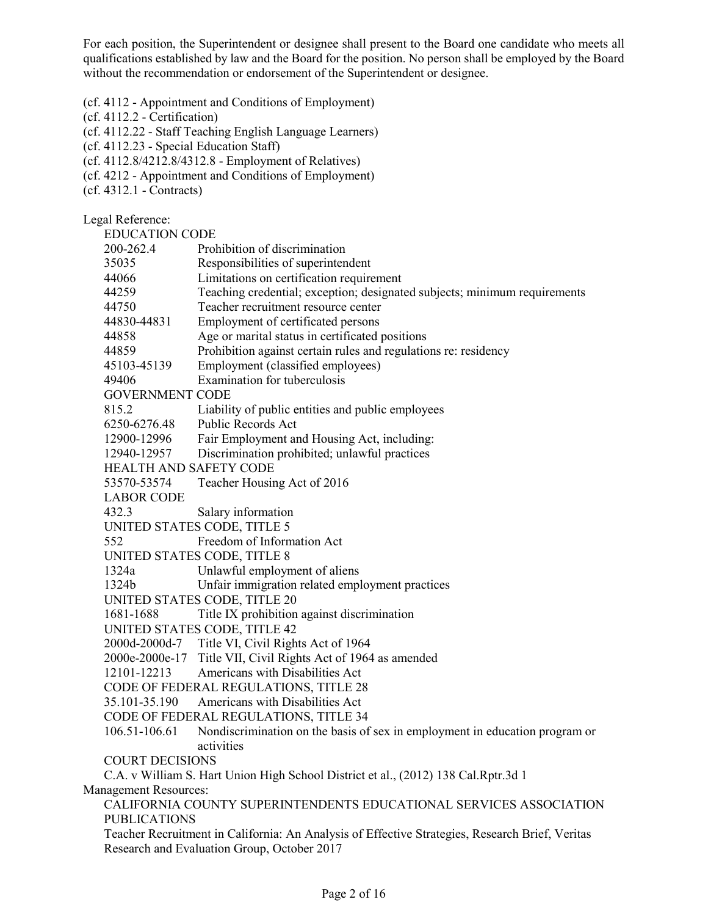For each position, the Superintendent or designee shall present to the Board one candidate who meets all qualifications established by law and the Board for the position. No person shall be employed by the Board without the recommendation or endorsement of the Superintendent or designee.

(cf[. 4112](http://gamutonline.net/displayPolicy/259625/4) - Appointment and Conditions of Employment)

(cf[. 4112.2](http://gamutonline.net/displayPolicy/211089/4) - Certification)

(cf[. 4112.22](http://gamutonline.net/displayPolicy/352648/4) - Staff Teaching English Language Learners)

(cf[. 4112.23](http://gamutonline.net/displayPolicy/395595/4) - Special Education Staff)

(cf[. 4112.8](http://gamutonline.net/displayPolicy/303922/4)[/4212.8/](http://gamutonline.net/displayPolicy/303923/4)[4312.8](http://gamutonline.net/displayPolicy/303924/4) - Employment of Relatives)

- (cf[. 4212](http://gamutonline.net/displayPolicy/222831/4)  Appointment and Conditions of Employment)
- (cf[. 4312.1](http://gamutonline.net/displayPolicy/171693/4)  Contracts)

Legal Reference:

EDUCATION CODE [200-](http://gamutonline.net/displayPolicy/138754/4)[262.4](http://gamutonline.net/displayPolicy/138778/4) Prohibition of discrimination [35035](http://gamutonline.net/displayPolicy/899473/4) Responsibilities of superintendent [44066](http://gamutonline.net/displayPolicy/130527/4) Limitations on certification requirement [44259](http://gamutonline.net/displayPolicy/137976/4) Teaching credential; exception; designated subjects; minimum requirements [44750](http://gamutonline.net/displayPolicy/130884/4) Teacher recruitment resource center [44830-](http://gamutonline.net/displayPolicy/138813/4)[44831](http://gamutonline.net/displayPolicy/130940/4) Employment of certificated persons [44858](http://gamutonline.net/displayPolicy/130968/4) Age or marital status in certificated positions [44859](http://gamutonline.net/displayPolicy/130969/4) Prohibition against certain rules and regulations re: residency [45103-](http://gamutonline.net/displayPolicy/131754/4)[45139](http://gamutonline.net/displayPolicy/131794/4) Employment (classified employees) [49406](http://gamutonline.net/displayPolicy/132348/4) Examination for tuberculosis GOVERNMENT CODE [815.2](http://gamutonline.net/displayPolicy/146321/4) Liability of public entities and public employees [6250](http://gamutonline.net/displayPolicy/144481/4)[-6276.48](http://gamutonline.net/displayPolicy/146293/4) Public Records Act [12900-](http://gamutonline.net/displayPolicy/144644/4)[12996](http://gamutonline.net/displayPolicy/144699/4) Fair Employment and Housing Act, including: [12940-](http://gamutonline.net/displayPolicy/146260/4)[12957](http://gamutonline.net/displayPolicy/144668/4) Discrimination prohibited; unlawful practices HEALTH AND SAFETY CODE 53570-53574 Teacher Housing Act of 2016 LABOR CODE 432.3 Salary information UNITED STATES CODE, TITLE 5 552 Freedom of Information Act UNITED STATES CODE, TITLE 8 [1324a](http://gamutonline.net/displayPolicy/437854/4) Unlawful employment of aliens [1324b](http://gamutonline.net/displayPolicy/437855/4) Unfair immigration related employment practices UNITED STATES CODE, TITLE 20 [1681](http://gamutonline.net/displayPolicy/189980/4)[-1688](http://gamutonline.net/displayPolicy/189987/4) Title IX prohibition against discrimination UNITED STATES CODE, TITLE 42 [2000d-2000d-](http://gamutonline.net/displayPolicy/191934/4)7 Title VI, Civil Rights Act of 1964 2000e-2000e-17 Title VII, Civil Rights Act of 1964 as amended 12101-12213 Americans with Disabilities Act CODE OF FEDERAL REGULATIONS, TITLE 28 [35.101](http://gamutonline.net/displayPolicy/190848/4)[-35.190](http://gamutonline.net/displayPolicy/222082/4) Americans with Disabilities Act CODE OF FEDERAL REGULATIONS, TITLE 34 [106.51](http://gamutonline.net/displayPolicy/274458/4)[-106.61](http://gamutonline.net/displayPolicy/191252/4) Nondiscrimination on the basis of sex in employment in education program or activities COURT DECISIONS C.A. v William S. Hart Union High School District et al., (2012) 138 Cal.Rptr.3d 1 Management Resources: CALIFORNIA COUNTY SUPERINTENDENTS EDUCATIONAL SERVICES ASSOCIATION PUBLICATIONS Teacher Recruitment in California: An Analysis of Effective Strategies, Research Brief, Veritas Research and Evaluation Group, October 2017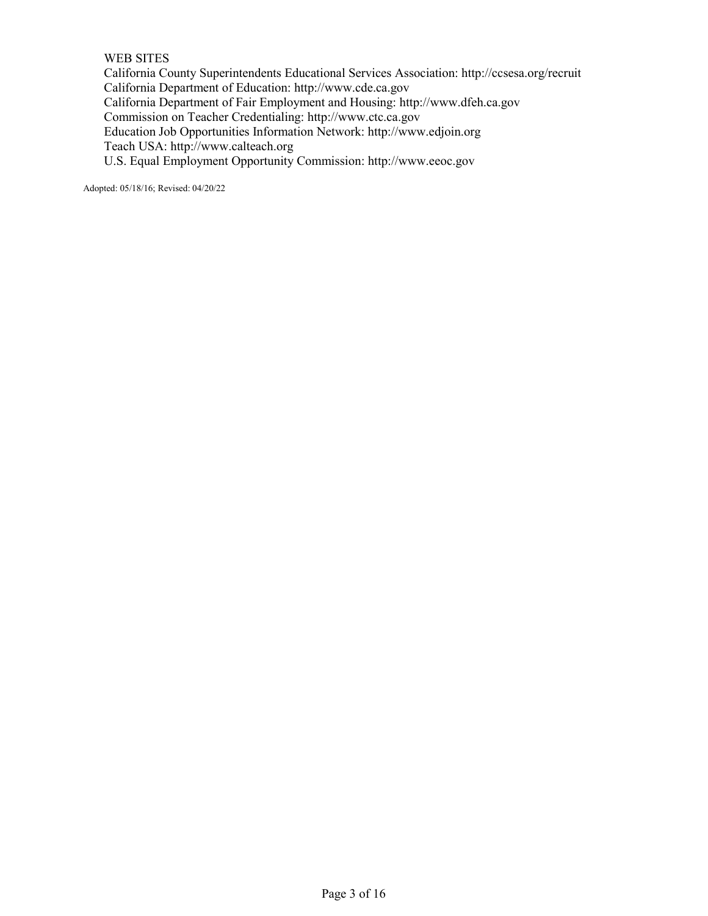#### WEB SITES

California County Superintendents Educational Services Association:<http://ccsesa.org/recruit> California Department of Education: [http://www.cde.ca.gov](http://www.cde.ca.gov/) California Department of Fair Employment and Housing: [http://www.dfeh.ca.gov](http://www.dfeh.ca.gov/) Commission on Teacher Credentialing: [http://www.ctc.ca.gov](http://www.ctc.ca.gov/) Education Job Opportunities Information Network: [http://www.edjoin.org](http://www.edjoin.org/) Teach USA: http://www.calteach.org U.S. Equal Employment Opportunity Commission: [http://www.eeoc.gov](http://www.eeoc.gov/)

Adopted: 05/18/16; Revised: 04/20/22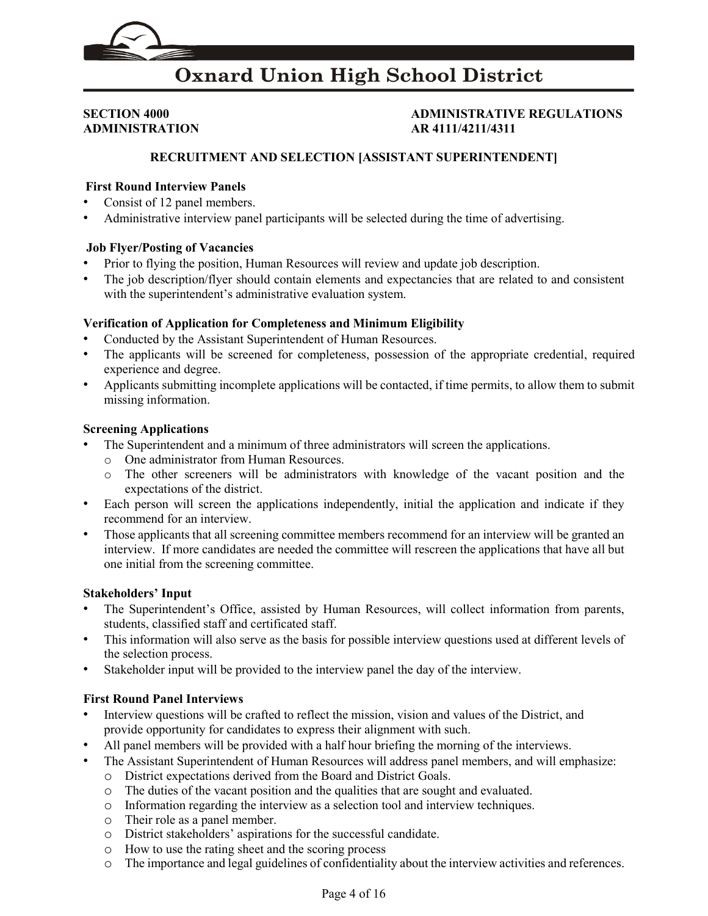## **ADMINISTRATION AR 4111/4211/4311**

## **SECTION 4000 ADMINISTRATIVE REGULATIONS**

#### **RECRUITMENT AND SELECTION [ASSISTANT SUPERINTENDENT]**

#### **First Round Interview Panels**

- Consist of 12 panel members.
- Administrative interview panel participants will be selected during the time of advertising.

#### **Job Flyer/Posting of Vacancies**

- Prior to flying the position, Human Resources will review and update job description.
- The job description/flyer should contain elements and expectancies that are related to and consistent with the superintendent's administrative evaluation system.

#### **Verification of Application for Completeness and Minimum Eligibility**

- Conducted by the Assistant Superintendent of Human Resources.
- The applicants will be screened for completeness, possession of the appropriate credential, required experience and degree.
- Applicants submitting incomplete applications will be contacted, if time permits, to allow them to submit missing information.

#### **Screening Applications**

- The Superintendent and a minimum of three administrators will screen the applications.
	- o One administrator from Human Resources.
	- o The other screeners will be administrators with knowledge of the vacant position and the expectations of the district.
- Each person will screen the applications independently, initial the application and indicate if they recommend for an interview.
- Those applicants that all screening committee members recommend for an interview will be granted an interview. If more candidates are needed the committee will rescreen the applications that have all but one initial from the screening committee.

#### **Stakeholders' Input**

- The Superintendent's Office, assisted by Human Resources, will collect information from parents, students, classified staff and certificated staff.
- This information will also serve as the basis for possible interview questions used at different levels of the selection process.
- Stakeholder input will be provided to the interview panel the day of the interview.

- Interview questions will be crafted to reflect the mission, vision and values of the District, and provide opportunity for candidates to express their alignment with such.
- All panel members will be provided with a half hour briefing the morning of the interviews.
- The Assistant Superintendent of Human Resources will address panel members, and will emphasize:
	- o District expectations derived from the Board and District Goals.
	- o The duties of the vacant position and the qualities that are sought and evaluated.
	- o Information regarding the interview as a selection tool and interview techniques.
	- o Their role as a panel member.
	- o District stakeholders' aspirations for the successful candidate.
	- o How to use the rating sheet and the scoring process
	- o The importance and legal guidelines of confidentiality about the interview activities and references.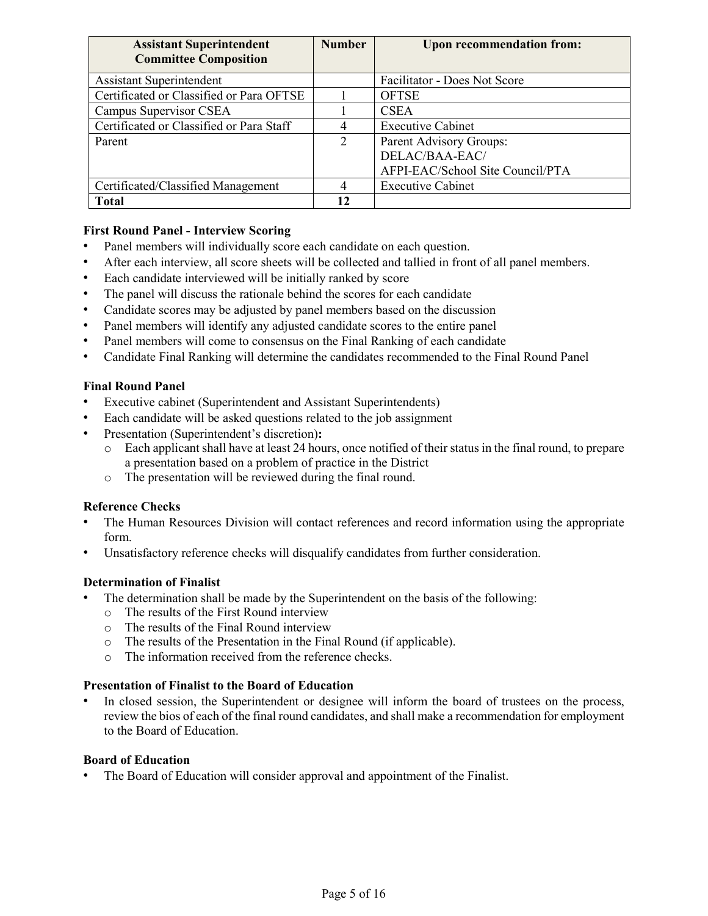| <b>Assistant Superintendent</b>          | <b>Number</b>               | <b>Upon recommendation from:</b> |
|------------------------------------------|-----------------------------|----------------------------------|
| <b>Committee Composition</b>             |                             |                                  |
| <b>Assistant Superintendent</b>          |                             | Facilitator - Does Not Score     |
| Certificated or Classified or Para OFTSE |                             | <b>OFTSE</b>                     |
| Campus Supervisor CSEA                   |                             | <b>CSEA</b>                      |
| Certificated or Classified or Para Staff |                             | <b>Executive Cabinet</b>         |
| Parent                                   | $\mathcal{D}_{\mathcal{L}}$ | Parent Advisory Groups:          |
|                                          |                             | DELAC/BAA-EAC/                   |
|                                          |                             | AFPI-EAC/School Site Council/PTA |
| Certificated/Classified Management       |                             | <b>Executive Cabinet</b>         |
| <b>Total</b>                             |                             |                                  |

- Panel members will individually score each candidate on each question.
- After each interview, all score sheets will be collected and tallied in front of all panel members.
- Each candidate interviewed will be initially ranked by score
- The panel will discuss the rationale behind the scores for each candidate
- Candidate scores may be adjusted by panel members based on the discussion
- Panel members will identify any adjusted candidate scores to the entire panel
- Panel members will come to consensus on the Final Ranking of each candidate
- Candidate Final Ranking will determine the candidates recommended to the Final Round Panel

#### **Final Round Panel**

- Executive cabinet (Superintendent and Assistant Superintendents)
- Each candidate will be asked questions related to the job assignment
- Presentation (Superintendent's discretion)**:**
	- o Each applicant shall have at least 24 hours, once notified of their status in the final round, to prepare a presentation based on a problem of practice in the District
	- o The presentation will be reviewed during the final round.

#### **Reference Checks**

- The Human Resources Division will contact references and record information using the appropriate form.
- Unsatisfactory reference checks will disqualify candidates from further consideration.

#### **Determination of Finalist**

- The determination shall be made by the Superintendent on the basis of the following:
	- o The results of the First Round interview
	- o The results of the Final Round interview
	- o The results of the Presentation in the Final Round (if applicable).
	- o The information received from the reference checks.

#### **Presentation of Finalist to the Board of Education**

In closed session, the Superintendent or designee will inform the board of trustees on the process, review the bios of each of the final round candidates, and shall make a recommendation for employment to the Board of Education.

#### **Board of Education**

The Board of Education will consider approval and appointment of the Finalist.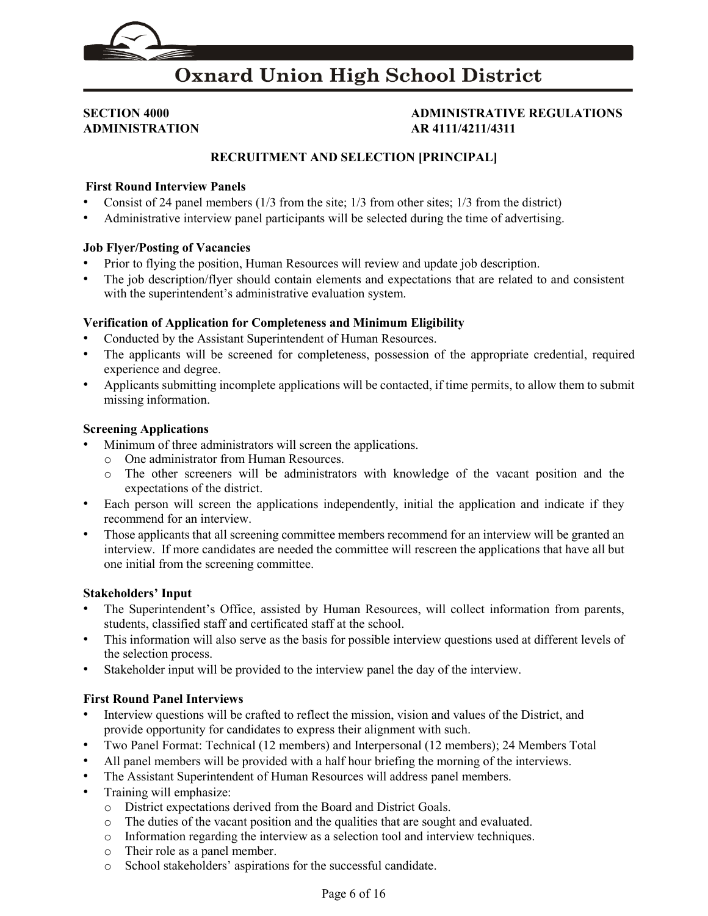

# **ADMINISTRATION AR 4111/4211/4311**

# **SECTION 4000 ADMINISTRATIVE REGULATIONS**

#### **RECRUITMENT AND SELECTION [PRINCIPAL]**

#### **First Round Interview Panels**

- Consist of 24 panel members  $(1/3$  from the site;  $1/3$  from other sites;  $1/3$  from the district)
- Administrative interview panel participants will be selected during the time of advertising.

#### **Job Flyer/Posting of Vacancies**

- Prior to flying the position, Human Resources will review and update job description.
- The job description/flyer should contain elements and expectations that are related to and consistent with the superintendent's administrative evaluation system.

#### **Verification of Application for Completeness and Minimum Eligibility**

- Conducted by the Assistant Superintendent of Human Resources.
- The applicants will be screened for completeness, possession of the appropriate credential, required experience and degree.
- Applicants submitting incomplete applications will be contacted, if time permits, to allow them to submit missing information.

#### **Screening Applications**

- Minimum of three administrators will screen the applications.
	- o One administrator from Human Resources.
	- o The other screeners will be administrators with knowledge of the vacant position and the expectations of the district.
- Each person will screen the applications independently, initial the application and indicate if they recommend for an interview.
- Those applicants that all screening committee members recommend for an interview will be granted an interview. If more candidates are needed the committee will rescreen the applications that have all but one initial from the screening committee.

#### **Stakeholders' Input**

- The Superintendent's Office, assisted by Human Resources, will collect information from parents, students, classified staff and certificated staff at the school.
- This information will also serve as the basis for possible interview questions used at different levels of the selection process.
- Stakeholder input will be provided to the interview panel the day of the interview.

- Interview questions will be crafted to reflect the mission, vision and values of the District, and provide opportunity for candidates to express their alignment with such.
- Two Panel Format: Technical (12 members) and Interpersonal (12 members); 24 Members Total
- All panel members will be provided with a half hour briefing the morning of the interviews.
- The Assistant Superintendent of Human Resources will address panel members.
- Training will emphasize:
	- o District expectations derived from the Board and District Goals.
	- o The duties of the vacant position and the qualities that are sought and evaluated.
	- o Information regarding the interview as a selection tool and interview techniques.
	- o Their role as a panel member.
	- o School stakeholders' aspirations for the successful candidate.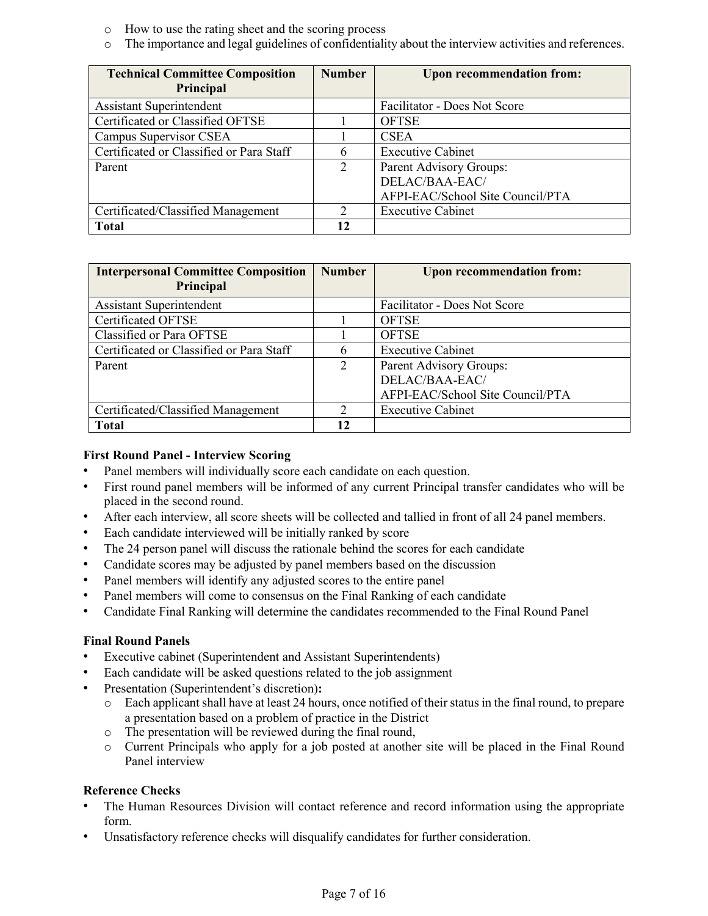- o How to use the rating sheet and the scoring process
- o The importance and legal guidelines of confidentiality about the interview activities and references.

| <b>Technical Committee Composition</b>   | <b>Number</b> | <b>Upon recommendation from:</b> |
|------------------------------------------|---------------|----------------------------------|
| Principal                                |               |                                  |
| <b>Assistant Superintendent</b>          |               | Facilitator - Does Not Score     |
| Certificated or Classified OFTSE         |               | <b>OFTSE</b>                     |
| Campus Supervisor CSEA                   |               | <b>CSEA</b>                      |
| Certificated or Classified or Para Staff | h             | <b>Executive Cabinet</b>         |
| Parent                                   | 2             | Parent Advisory Groups:          |
|                                          |               | DELAC/BAA-EAC/                   |
|                                          |               | AFPI-EAC/School Site Council/PTA |
| Certificated/Classified Management       | $\gamma$      | <b>Executive Cabinet</b>         |
| <b>Total</b>                             |               |                                  |

| <b>Interpersonal Committee Composition</b> | <b>Number</b> | <b>Upon recommendation from:</b> |
|--------------------------------------------|---------------|----------------------------------|
| Principal                                  |               |                                  |
| <b>Assistant Superintendent</b>            |               | Facilitator - Does Not Score     |
| Certificated OFTSE                         |               | <b>OFTSE</b>                     |
| Classified or Para OFTSE                   |               | <b>OFTSE</b>                     |
| Certificated or Classified or Para Staff   |               | <b>Executive Cabinet</b>         |
| Parent                                     | 2             | Parent Advisory Groups:          |
|                                            |               | DELAC/BAA-EAC/                   |
|                                            |               | AFPI-EAC/School Site Council/PTA |
| Certificated/Classified Management         | $\mathcal{D}$ | <b>Executive Cabinet</b>         |
| <b>Total</b>                               | 12            |                                  |

- Panel members will individually score each candidate on each question.
- First round panel members will be informed of any current Principal transfer candidates who will be placed in the second round.
- After each interview, all score sheets will be collected and tallied in front of all 24 panel members.
- Each candidate interviewed will be initially ranked by score
- The 24 person panel will discuss the rationale behind the scores for each candidate
- Candidate scores may be adjusted by panel members based on the discussion
- Panel members will identify any adjusted scores to the entire panel
- Panel members will come to consensus on the Final Ranking of each candidate
- Candidate Final Ranking will determine the candidates recommended to the Final Round Panel

#### **Final Round Panels**

- Executive cabinet (Superintendent and Assistant Superintendents)
- Each candidate will be asked questions related to the job assignment
- Presentation (Superintendent's discretion)**:**
	- o Each applicant shall have at least 24 hours, once notified of their status in the final round, to prepare a presentation based on a problem of practice in the District
	- o The presentation will be reviewed during the final round,
	- o Current Principals who apply for a job posted at another site will be placed in the Final Round Panel interview

#### **Reference Checks**

- The Human Resources Division will contact reference and record information using the appropriate form.
- Unsatisfactory reference checks will disqualify candidates for further consideration.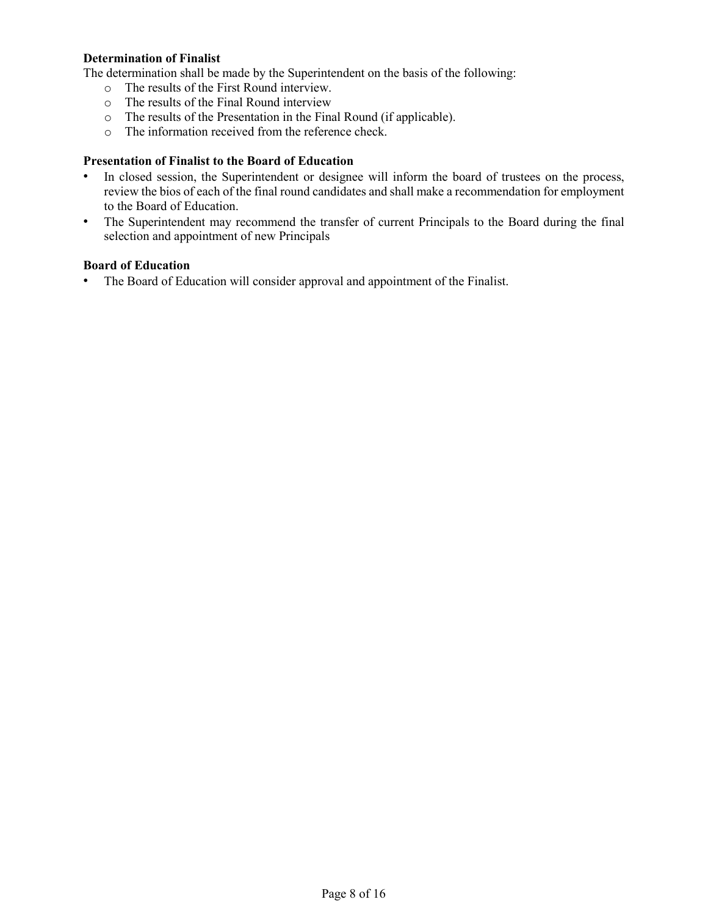#### **Determination of Finalist**

The determination shall be made by the Superintendent on the basis of the following:

- o The results of the First Round interview.
- o The results of the Final Round interview
- o The results of the Presentation in the Final Round (if applicable).
- o The information received from the reference check.

#### **Presentation of Finalist to the Board of Education**

- In closed session, the Superintendent or designee will inform the board of trustees on the process, review the bios of each of the final round candidates and shall make a recommendation for employment to the Board of Education.
- The Superintendent may recommend the transfer of current Principals to the Board during the final selection and appointment of new Principals

#### **Board of Education**

• The Board of Education will consider approval and appointment of the Finalist.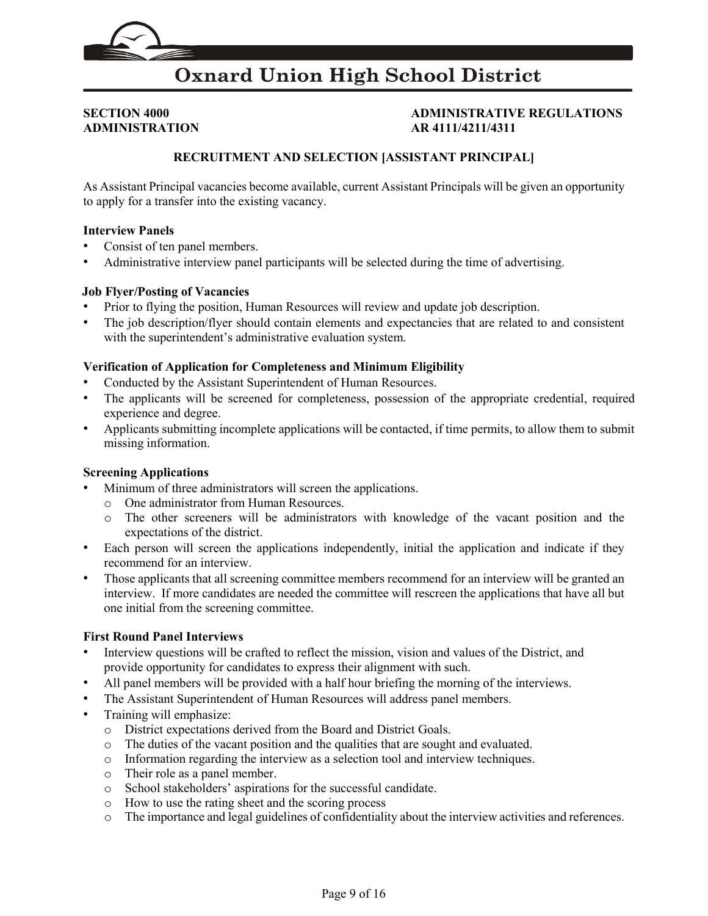

## **ADMINISTRATION AR 4111/4211/4311**

## **SECTION 4000 ADMINISTRATIVE REGULATIONS**

### **RECRUITMENT AND SELECTION [ASSISTANT PRINCIPAL]**

As Assistant Principal vacancies become available, current Assistant Principals will be given an opportunity to apply for a transfer into the existing vacancy.

#### **Interview Panels**

- Consist of ten panel members.
- Administrative interview panel participants will be selected during the time of advertising.

#### **Job Flyer/Posting of Vacancies**

- Prior to flying the position, Human Resources will review and update job description.
- The job description/flyer should contain elements and expectancies that are related to and consistent with the superintendent's administrative evaluation system.

#### **Verification of Application for Completeness and Minimum Eligibility**

- Conducted by the Assistant Superintendent of Human Resources.
- The applicants will be screened for completeness, possession of the appropriate credential, required experience and degree.
- Applicants submitting incomplete applications will be contacted, if time permits, to allow them to submit missing information.

#### **Screening Applications**

- Minimum of three administrators will screen the applications.
	- o One administrator from Human Resources.
	- o The other screeners will be administrators with knowledge of the vacant position and the expectations of the district.
- Each person will screen the applications independently, initial the application and indicate if they recommend for an interview.
- Those applicants that all screening committee members recommend for an interview will be granted an interview. If more candidates are needed the committee will rescreen the applications that have all but one initial from the screening committee.

- Interview questions will be crafted to reflect the mission, vision and values of the District, and provide opportunity for candidates to express their alignment with such.
- All panel members will be provided with a half hour briefing the morning of the interviews.
- The Assistant Superintendent of Human Resources will address panel members.
- Training will emphasize:
	- o District expectations derived from the Board and District Goals.
	- o The duties of the vacant position and the qualities that are sought and evaluated.
	- o Information regarding the interview as a selection tool and interview techniques.
	- o Their role as a panel member.
	- o School stakeholders' aspirations for the successful candidate.
	- o How to use the rating sheet and the scoring process
	- o The importance and legal guidelines of confidentiality about the interview activities and references.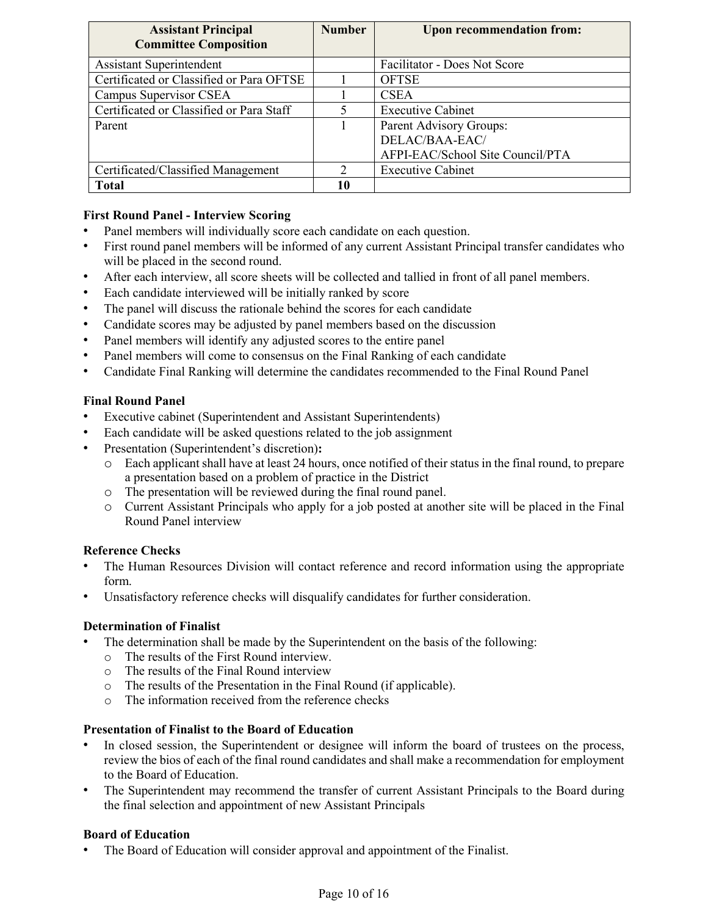| <b>Assistant Principal</b>               | <b>Number</b> | <b>Upon recommendation from:</b> |
|------------------------------------------|---------------|----------------------------------|
| <b>Committee Composition</b>             |               |                                  |
| <b>Assistant Superintendent</b>          |               | Facilitator - Does Not Score     |
| Certificated or Classified or Para OFTSE |               | <b>OFTSE</b>                     |
| Campus Supervisor CSEA                   |               | <b>CSEA</b>                      |
| Certificated or Classified or Para Staff |               | <b>Executive Cabinet</b>         |
| Parent                                   |               | Parent Advisory Groups:          |
|                                          |               | DELAC/BAA-EAC/                   |
|                                          |               | AFPI-EAC/School Site Council/PTA |
| Certificated/Classified Management       |               | <b>Executive Cabinet</b>         |
| <b>Total</b>                             | 10            |                                  |

- Panel members will individually score each candidate on each question.
- First round panel members will be informed of any current Assistant Principal transfer candidates who will be placed in the second round.
- After each interview, all score sheets will be collected and tallied in front of all panel members.
- Each candidate interviewed will be initially ranked by score
- The panel will discuss the rationale behind the scores for each candidate
- Candidate scores may be adjusted by panel members based on the discussion
- Panel members will identify any adjusted scores to the entire panel
- Panel members will come to consensus on the Final Ranking of each candidate
- Candidate Final Ranking will determine the candidates recommended to the Final Round Panel

#### **Final Round Panel**

- Executive cabinet (Superintendent and Assistant Superintendents)
- Each candidate will be asked questions related to the job assignment
- Presentation (Superintendent's discretion)**:**
	- Each applicant shall have at least 24 hours, once notified of their status in the final round, to prepare a presentation based on a problem of practice in the District
	- o The presentation will be reviewed during the final round panel.
	- o Current Assistant Principals who apply for a job posted at another site will be placed in the Final Round Panel interview

#### **Reference Checks**

- The Human Resources Division will contact reference and record information using the appropriate form.
- Unsatisfactory reference checks will disqualify candidates for further consideration.

#### **Determination of Finalist**

- The determination shall be made by the Superintendent on the basis of the following:
	- o The results of the First Round interview.
	- o The results of the Final Round interview
	- o The results of the Presentation in the Final Round (if applicable).
	- o The information received from the reference checks

#### **Presentation of Finalist to the Board of Education**

- In closed session, the Superintendent or designee will inform the board of trustees on the process, review the bios of each of the final round candidates and shall make a recommendation for employment to the Board of Education.
- The Superintendent may recommend the transfer of current Assistant Principals to the Board during the final selection and appointment of new Assistant Principals

#### **Board of Education**

The Board of Education will consider approval and appointment of the Finalist.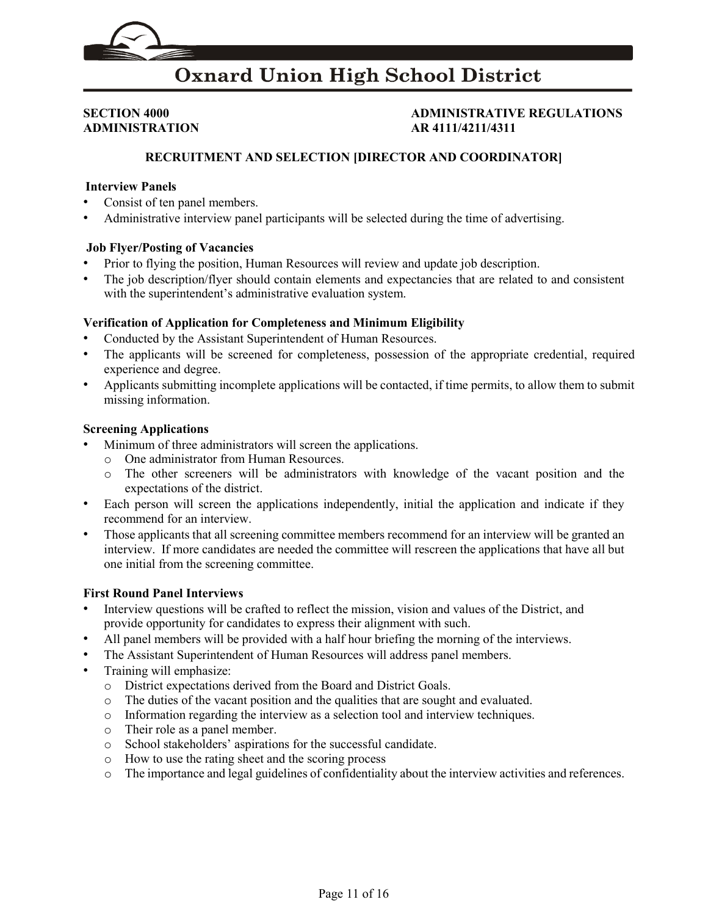

**ADMINISTRATION AR 4111/4211/4311** 

## **SECTION 4000 ADMINISTRATIVE REGULATIONS**

### **RECRUITMENT AND SELECTION [DIRECTOR AND COORDINATOR]**

#### **Interview Panels**

- Consist of ten panel members.
- Administrative interview panel participants will be selected during the time of advertising.

#### **Job Flyer/Posting of Vacancies**

- Prior to flying the position, Human Resources will review and update job description.
- The job description/flyer should contain elements and expectancies that are related to and consistent with the superintendent's administrative evaluation system.

#### **Verification of Application for Completeness and Minimum Eligibility**

- Conducted by the Assistant Superintendent of Human Resources.
- The applicants will be screened for completeness, possession of the appropriate credential, required experience and degree.
- Applicants submitting incomplete applications will be contacted, if time permits, to allow them to submit missing information.

#### **Screening Applications**

- Minimum of three administrators will screen the applications.
	- o One administrator from Human Resources.
	- o The other screeners will be administrators with knowledge of the vacant position and the expectations of the district.
- Each person will screen the applications independently, initial the application and indicate if they recommend for an interview.
- Those applicants that all screening committee members recommend for an interview will be granted an interview. If more candidates are needed the committee will rescreen the applications that have all but one initial from the screening committee.

- Interview questions will be crafted to reflect the mission, vision and values of the District, and provide opportunity for candidates to express their alignment with such.
- All panel members will be provided with a half hour briefing the morning of the interviews.
- The Assistant Superintendent of Human Resources will address panel members.
- Training will emphasize:
	- o District expectations derived from the Board and District Goals.
	- o The duties of the vacant position and the qualities that are sought and evaluated.
	- o Information regarding the interview as a selection tool and interview techniques.
	- o Their role as a panel member.
	- o School stakeholders' aspirations for the successful candidate.
	- o How to use the rating sheet and the scoring process
	- o The importance and legal guidelines of confidentiality about the interview activities and references.